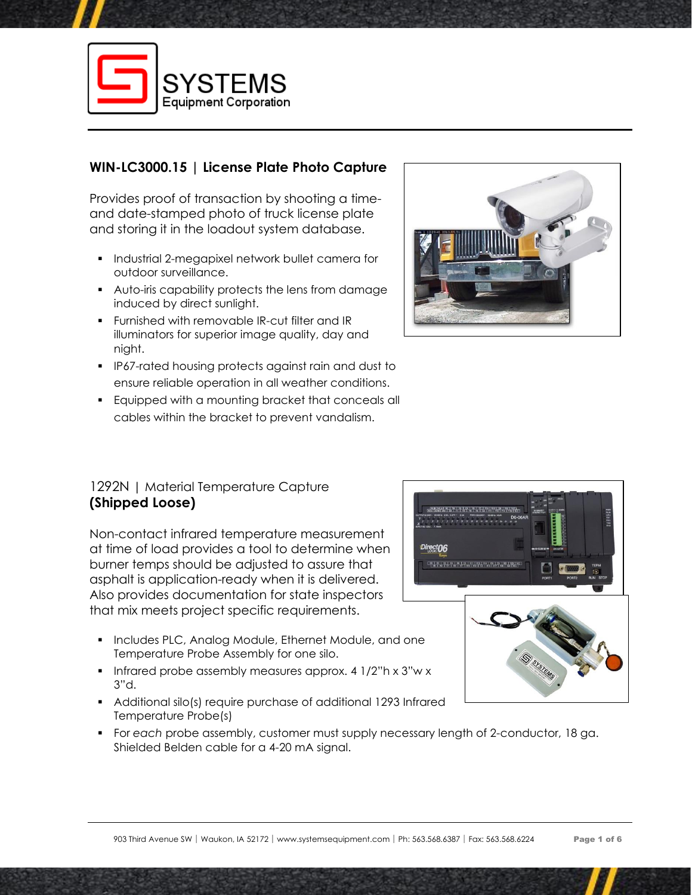

# **WIN-LC3000.15 | License Plate Photo Capture**

Provides proof of transaction by shooting a timeand date-stamped photo of truck license plate and storing it in the loadout system database.

- **•** Industrial 2-megapixel network bullet camera for outdoor surveillance.
- Auto-iris capability protects the lens from damage induced by direct sunlight.
- Furnished with removable IR-cut filter and IR illuminators for superior image quality, day and night.
- IP67-rated housing protects against rain and dust to ensure reliable operation in all weather conditions.
- Equipped with a mounting bracket that conceals all cables within the bracket to prevent vandalism.

### 1292N | Material Temperature Capture **(Shipped Loose)**

Non-contact infrared temperature measurement at time of load provides a tool to determine when burner temps should be adjusted to assure that asphalt is application-ready when it is delivered. Also provides documentation for state inspectors that mix meets project specific requirements.

- Includes PLC, Analog Module, Ethernet Module, and one Temperature Probe Assembly for one silo.
- Infrared probe assembly measures approx. 4 1/2"h x 3"w x 3"d.
- Additional silo(s) require purchase of additional 1293 Infrared Temperature Probe(s)
- For *each* probe assembly, customer must supply necessary length of 2-conductor, 18 ga. Shielded Belden cable for a 4-20 mA signal.



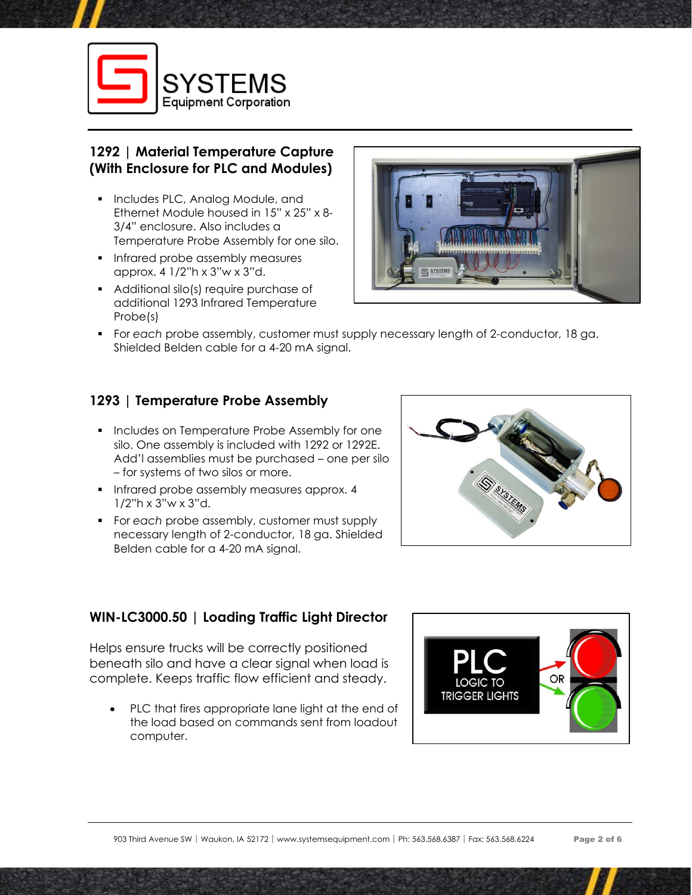

# **1292 | Material Temperature Capture (With Enclosure for PLC and Modules)**

- Includes PLC, Analog Module, and Ethernet Module housed in 15" x 25" x 8- 3/4" enclosure. Also includes a Temperature Probe Assembly for one silo.
- **·** Infrared probe assembly measures approx. 4 1/2"h x 3"w x 3"d.
- Additional silo(s) require purchase of additional 1293 Infrared Temperature Probe(s)



▪ For *each* probe assembly, customer must supply necessary length of 2-conductor, 18 ga. Shielded Belden cable for a 4-20 mA signal.

# **1293 | Temperature Probe Assembly**

- **•** Includes on Temperature Probe Assembly for one silo. One assembly is included with 1292 or 1292E. Add'l assemblies must be purchased – one per silo – for systems of two silos or more.
- **•** Infrared probe assembly measures approx. 4 1/2"h x 3"w x 3"d.
- For *each* probe assembly, customer must supply necessary length of 2-conductor, 18 ga. Shielded Belden cable for a 4-20 mA signal.



# **WIN-LC3000.50 | Loading Traffic Light Director**

Helps ensure trucks will be correctly positioned beneath silo and have a clear signal when load is complete. Keeps traffic flow efficient and steady.

PLC that fires appropriate lane light at the end of the load based on commands sent from loadout computer.

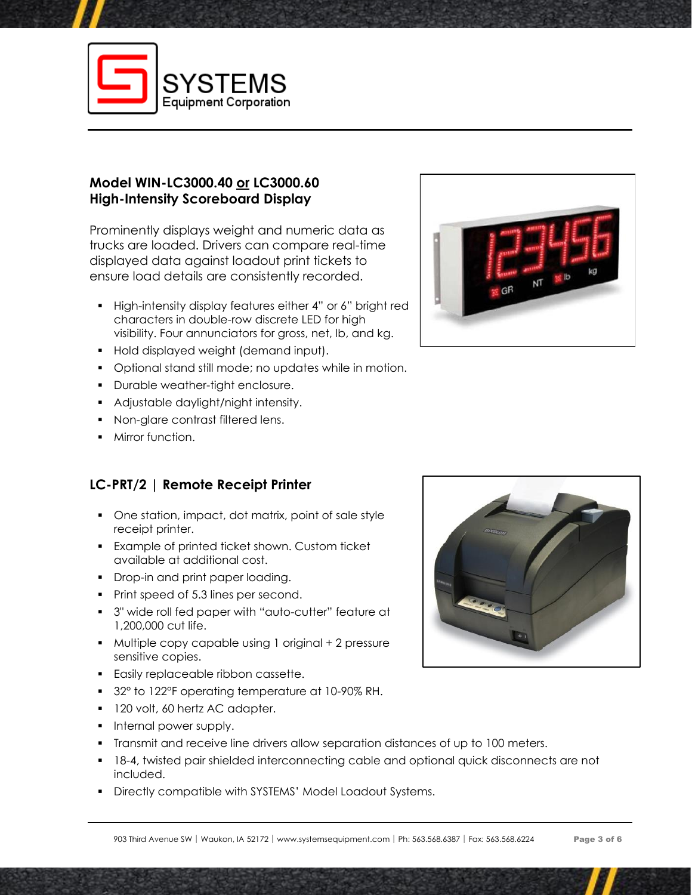

# **Model WIN-LC3000.40 or LC3000.60 High-Intensity Scoreboard Display**

Prominently displays weight and numeric data as trucks are loaded. Drivers can compare real-time displayed data against loadout print tickets to ensure load details are consistently recorded.

- High-intensity display features either 4" or 6" bright red characters in double-row discrete LED for high visibility. Four annunciators for gross, net, lb, and kg.
- Hold displayed weight (demand input).
- Optional stand still mode; no updates while in motion.
- Durable weather-tight enclosure.
- Adjustable daylight/night intensity.
- Non-glare contrast filtered lens.
- Mirror function.

# **LC-PRT/2 | Remote Receipt Printer**

- One station, impact, dot matrix, point of sale style receipt printer.
- Example of printed ticket shown. Custom ticket available at additional cost.
- **•** Drop-in and print paper loading.
- Print speed of 5.3 lines per second.
- 3" wide roll fed paper with "auto-cutter" feature at 1,200,000 cut life.
- Multiple copy capable using 1 original + 2 pressure sensitive copies.
- **Easily replaceable ribbon cassette.**
- 32° to 122°F operating temperature at 10-90% RH.
- 120 volt, 60 hertz AC adapter.
- **•** Internal power supply.
- Transmit and receive line drivers allow separation distances of up to 100 meters.
- 18-4, twisted pair shielded interconnecting cable and optional quick disconnects are not included.
- Directly compatible with SYSTEMS' Model Loadout Systems.



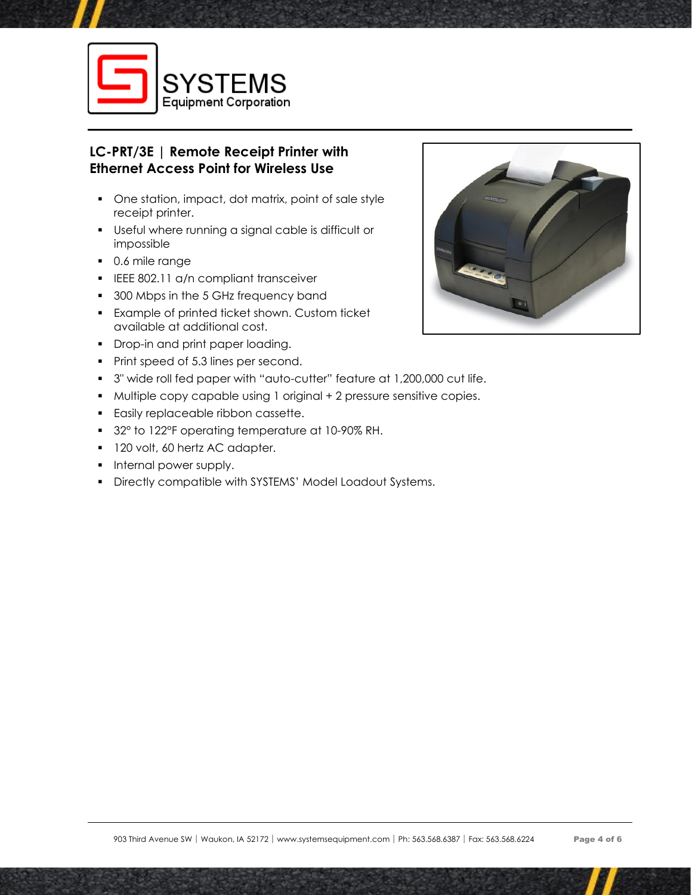

# **LC-PRT/3E | Remote Receipt Printer with Ethernet Access Point for Wireless Use**

- One station, impact, dot matrix, point of sale style receipt printer.
- Useful where running a signal cable is difficult or impossible
- 0.6 mile range
- **ELEE 802.11 a/n compliant transceiver**
- 300 Mbps in the 5 GHz frequency band
- Example of printed ticket shown. Custom ticket available at additional cost.
- Drop-in and print paper loading.
- Print speed of 5.3 lines per second.
- 3" wide roll fed paper with "auto-cutter" feature at 1,200,000 cut life.
- Multiple copy capable using 1 original + 2 pressure sensitive copies.
- Easily replaceable ribbon cassette.
- 32° to 122°F operating temperature at 10-90% RH.
- 120 volt, 60 hertz AC adapter.
- **•** Internal power supply.
- Directly compatible with SYSTEMS' Model Loadout Systems.

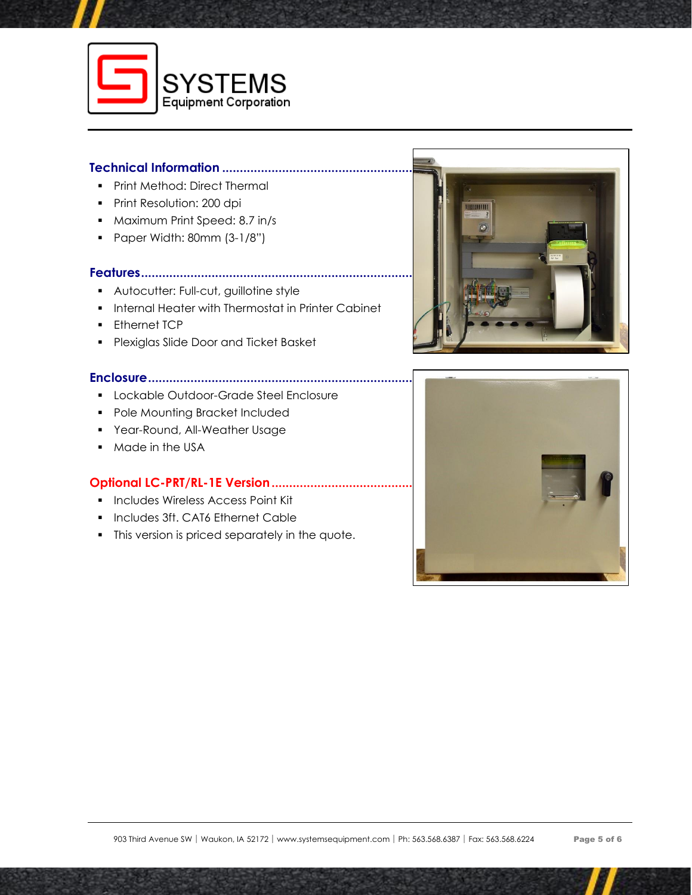

#### **Technical Information ................................................................................................................**

- Print Method: Direct Thermal
- Print Resolution: 200 dpi
- Maximum Print Speed: 8.7 in/s
- Paper Width: 80mm (3-1/8")

### **Features.......................................................................................................................................**

- Autocutter: Full-cut, guillotine style
- Internal Heater with Thermostat in Printer Cabinet
- **•** Ethernet TCP
- Plexiglas Slide Door and Ticket Basket

#### **Enclosure.....................................................................................................................................**

- Lockable Outdoor-Grade Steel Enclosure
- Pole Mounting Bracket Included
- **•** Year-Round, All-Weather Usage
- Made in the USA

#### **Optional LC-PRT/RL-1E Version...................................**

- Includes Wireless Access Point Kit
- Includes 3ft. CAT6 Ethernet Cable
- **•** This version is priced separately in the quote.